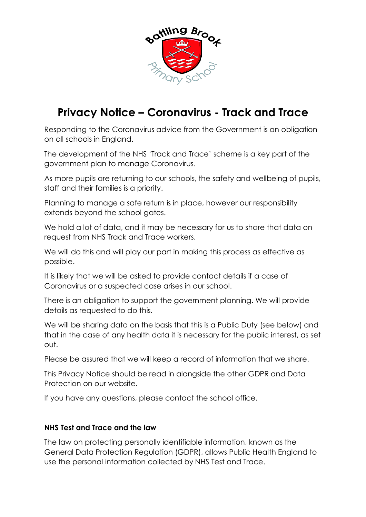

## **Privacy Notice – Coronavirus - Track and Trace**

Responding to the Coronavirus advice from the Government is an obligation on all schools in England.

The development of the NHS 'Track and Trace' scheme is a key part of the government plan to manage Coronavirus.

As more pupils are returning to our schools, the safety and wellbeing of pupils, staff and their families is a priority.

Planning to manage a safe return is in place, however our responsibility extends beyond the school gates.

We hold a lot of data, and it may be necessary for us to share that data on request from NHS Track and Trace workers.

We will do this and will play our part in making this process as effective as possible.

It is likely that we will be asked to provide contact details if a case of Coronavirus or a suspected case arises in our school.

There is an obligation to support the government planning. We will provide details as requested to do this.

We will be sharing data on the basis that this is a Public Duty (see below) and that in the case of any health data it is necessary for the public interest, as set out.

Please be assured that we will keep a record of information that we share.

This Privacy Notice should be read in alongside the other GDPR and Data Protection on our website.

If you have any questions, please contact the school office.

## **NHS Test and Trace and the law**

The law on protecting personally identifiable information, known as the General Data Protection Regulation (GDPR), allows Public Health England to use the personal information collected by NHS Test and Trace.